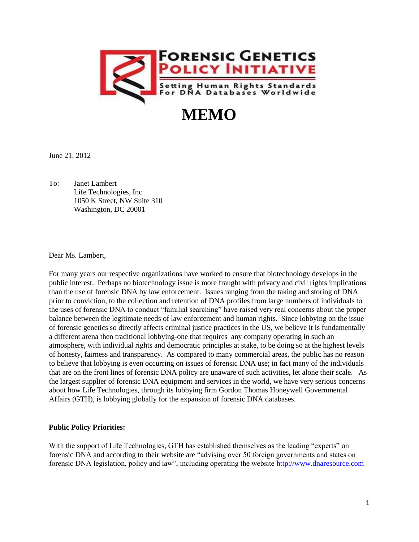

# **MEMO**

June 21, 2012

To: Janet Lambert Life Technologies, Inc 1050 K Street, NW Suite 310 Washington, DC 20001

Dear Ms. Lambert,

For many years our respective organizations have worked to ensure that biotechnology develops in the public interest. Perhaps no biotechnology issue is more fraught with privacy and civil rights implications than the use of forensic DNA by law enforcement. Issues ranging from the taking and storing of DNA prior to conviction, to the collection and retention of DNA profiles from large numbers of individuals to the uses of forensic DNA to conduct "familial searching" have raised very real concerns about the proper balance between the legitimate needs of law enforcement and human rights. Since lobbying on the issue of forensic genetics so directly affects criminal justice practices in the US, we believe it is fundamentally a different arena then traditional lobbying-one that requires any company operating in such an atmosphere, with individual rights and democratic principles at stake, to be doing so at the highest levels of honesty, fairness and transparency. As compared to many commercial areas, the public has no reason to believe that lobbying is even occurring on issues of forensic DNA use; in fact many of the individuals that are on the front lines of forensic DNA policy are unaware of such activities, let alone their scale. As the largest supplier of forensic DNA equipment and services in the world, we have very serious concerns about how Life Technologies, through its lobbying firm Gordon Thomas Honeywell Governmental Affairs (GTH), is lobbying globally for the expansion of forensic DNA databases.

## **Public Policy Priorities:**

With the support of Life Technologies, GTH has established themselves as the leading "experts" on forensic DNA and according to their website are "advising over 50 foreign governments and states on forensic DNA legislation, policy and law", including operating the website [http://www.dnaresource.com](http://www.dnaresource.com/)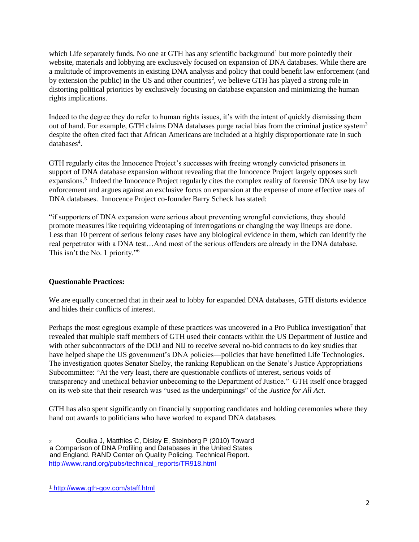which Life separately funds. No one at GTH has any scientific background<sup>1</sup> but more pointedly their website, materials and lobbying are exclusively focused on expansion of DNA databases. While there are a multitude of improvements in existing DNA analysis and policy that could benefit law enforcement (and by extension the public) in the US and other countries<sup>2</sup>, we believe GTH has played a strong role in distorting political priorities by exclusively focusing on database expansion and minimizing the human rights implications.

Indeed to the degree they do refer to human rights issues, it's with the intent of quickly dismissing them out of hand. For example, GTH claims DNA databases purge racial bias from the criminal justice system<sup>3</sup> despite the often cited fact that African Americans are included at a highly disproportionate rate in such databases<sup>4</sup>.

GTH regularly cites the Innocence Project's successes with freeing wrongly convicted prisoners in support of DNA database expansion without revealing that the Innocence Project largely opposes such expansions.<sup>5</sup> Indeed the Innocence Project regularly cites the complex reality of forensic DNA use by law enforcement and argues against an exclusive focus on expansion at the expense of more effective uses of DNA databases. Innocence Project co-founder Barry Scheck has stated:

"if supporters of DNA expansion were serious about preventing wrongful convictions, they should promote measures like requiring videotaping of interrogations or changing the way lineups are done. Less than 10 percent of serious felony cases have any biological evidence in them, which can identify the real perpetrator with a DNA test…And most of the serious offenders are already in the DNA database. This isn't the No. 1 priority."<sup>6</sup>

## **Questionable Practices:**

We are equally concerned that in their zeal to lobby for expanded DNA databases, GTH distorts evidence and hides their conflicts of interest.

Perhaps the most egregious example of these practices was uncovered in a Pro Publica investigation<sup>7</sup> that revealed that multiple staff members of GTH used their contacts within the US Department of Justice and with other subcontractors of the DOJ and NIJ to receive several no-bid contracts to do key studies that have helped shape the US government's DNA policies—policies that have benefitted Life Technologies. The investigation quotes Senator Shelby, the ranking Republican on the Senate's Justice Appropriations Subcommittee: "At the very least, there are questionable conflicts of interest, serious voids of transparency and unethical behavior unbecoming to the Department of Justice." GTH itself once bragged on its web site that their research was "used as the underpinnings" of the *Justice for All Act*.

GTH has also spent significantly on financially supporting candidates and holding ceremonies where they hand out awards to politicians who have worked to expand DNA databases.

<sup>2</sup> Goulka J, Matthies C, Disley E, Steinberg P (2010) Toward a Comparison of DNA Profiling and Databases in the United States and England. RAND Center on Quality Policing. Technical Report. [http://www.rand.org/pubs/technical\\_reports/TR918.html](http://www.rand.org/pubs/technical_reports/TR918.html)

 $\overline{a}$ 

<sup>1</sup> <http://www.gth-gov.com/staff.html>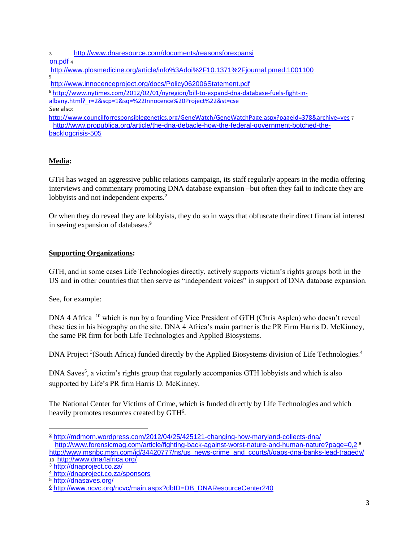<sup>3</sup> [http://www.dnaresource.com/documents/reasonsforexpansi](http://www.dnaresource.com/documents/reasonsforexpansion.pdf)

[on.pdf](http://www.dnaresource.com/documents/reasonsforexpansion.pdf) <sup>4</sup>

<http://www.plosmedicine.org/article/info%3Adoi%2F10.1371%2Fjournal.pmed.1001100> 5

<http://www.innocenceproject.org/docs/Policy062006Statement.pdf>

[6](http://www.nytimes.com/2012/02/01/nyregion/bill-to-expand-dna-database-fuels-fight-in-%20%20albany.html?_r=2&scp=1&sq=%22Innocence%20Project%22&st=cse) [http://www.nytimes.com/2012/02/01/nyregion/bill-to-expand-dna-database-fuels-fight-in-](http://www.nytimes.com/2012/02/01/nyregion/bill-to-expand-dna-database-fuels-fight-in-%20%20albany.html?_r=2&scp=1&sq=%22Innocence%20Project%22&st=cse)

[albany.html?\\_r=2&scp=1&sq=%22Innocence%20Project%22&st=cse](http://www.nytimes.com/2012/02/01/nyregion/bill-to-expand-dna-database-fuels-fight-in-%20%20albany.html?_r=2&scp=1&sq=%22Innocence%20Project%22&st=cse)

See also:

<http://www.councilforresponsiblegenetics.org/GeneWatch/GeneWatchPage.aspx?pageId=378&archive=yes> 7 [http://www.propublica.org/article/the-dna-debacle-how-the-federal-government-botched-the](http://www.propublica.org/article/the-dna-debacle-how-the-federal-government-botched-the-backlog-crisis-505)[backlogcrisis-505](http://www.propublica.org/article/the-dna-debacle-how-the-federal-government-botched-the-backlog-crisis-505)

## **Media:**

GTH has waged an aggressive public relations campaign, its staff regularly appears in the media offering interviews and commentary promoting DNA database expansion –but often they fail to indicate they are lobbyists and not independent experts.<sup>2</sup>

Or when they do reveal they are lobbyists, they do so in ways that obfuscate their direct financial interest in seeing expansion of databases.<sup>9</sup>

## **Supporting Organizations:**

GTH, and in some cases Life Technologies directly, actively supports victim's rights groups both in the US and in other countries that then serve as "independent voices" in support of DNA database expansion.

See, for example:

DNA 4 Africa  $^{10}$  which is run by a founding Vice President of GTH (Chris Asplen) who doesn't reveal these ties in his biography on the site. DNA 4 Africa's main partner is the PR Firm Harris D. McKinney, the same PR firm for both Life Technologies and Applied Biosystems.

DNA Project <sup>3</sup>(South Africa) funded directly by the Applied Biosystems division of Life Technologies.<sup>4</sup>

DNA Saves<sup>5</sup>, a victim's rights group that regularly accompanies GTH lobbyists and which is also supported by Life's PR firm Harris D. McKinney.

The National Center for Victims of Crime, which is funded directly by Life Technologies and which heavily promotes resources created by GTH<sup>6</sup>.

l

<sup>2</sup> <http://mdmorn.wordpress.com/2012/04/25/425121-changing-how-maryland-collects-dna/> http://www.forensicmag.com/article/fighting-back-against-worst-nature-and-human-nature?page=0.2 <sup>[9](http://www.msnbc.msn.com/id/34420777/ns/us_news-crime_and_courts/t/gaps-dna-banks-lead-tragedy/)</sup> http://www.msnbc.msn.com/id/34420777/ns/us\_news-crime\_and\_courts/t/gaps-dna-banks-lead-tragedy/

<sup>10</sup> <http://www.dna4africa.org/>

<sup>3</sup> <http://dnaproject.co.za/>

<sup>4</sup> <http://dnaproject.co.za/sponsors>

<sup>5</sup> <http://dnasaves.org/>

<sup>6</sup> [http://www.ncvc.org/ncvc/main.aspx?dbID=DB\\_DNAResourceCenter240](http://www.ncvc.org/ncvc/main.aspx?dbID=DB_DNAResourceCenter240)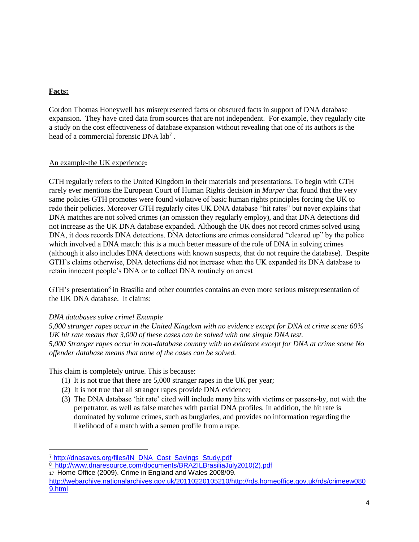## **Facts:**

l

Gordon Thomas Honeywell has misrepresented facts or obscured facts in support of DNA database expansion. They have cited data from sources that are not independent. For example, they regularly cite a study on the cost effectiveness of database expansion without revealing that one of its authors is the head of a commercial forensic DNA lab<sup>7</sup>.

## An example-the UK experience**:**

GTH regularly refers to the United Kingdom in their materials and presentations. To begin with GTH rarely ever mentions the European Court of Human Rights decision in *Marper* that found that the very same policies GTH promotes were found violative of basic human rights principles forcing the UK to redo their policies. Moreover GTH regularly cites UK DNA database "hit rates" but never explains that DNA matches are not solved crimes (an omission they regularly employ), and that DNA detections did not increase as the UK DNA database expanded. Although the UK does not record crimes solved using DNA, it does records DNA detections. DNA detections are crimes considered "cleared up" by the police which involved a DNA match: this is a much better measure of the role of DNA in solving crimes (although it also includes DNA detections with known suspects, that do not require the database). Despite GTH's claims otherwise, DNA detections did not increase when the UK expanded its DNA database to retain innocent people's DNA or to collect DNA routinely on arrest

GTH's presentation<sup>8</sup> in Brasilia and other countries contains an even more serious misrepresentation of the UK DNA database. It claims:

## *DNA databases solve crime! Example*

*5,000 stranger rapes occur in the United Kingdom with no evidence except for DNA at crime scene 60% UK hit rate means that 3,000 of these cases can be solved with one simple DNA test. 5,000 Stranger rapes occur in non-database country with no evidence except for DNA at crime scene No offender database means that none of the cases can be solved.* 

This claim is completely untrue. This is because:

- (1) It is not true that there are 5,000 stranger rapes in the UK per year;
- (2) It is not true that all stranger rapes provide DNA evidence;
- (3) The DNA database 'hit rate' cited will include many hits with victims or passers-by, not with the perpetrator, as well as false matches with partial DNA profiles. In addition, the hit rate is dominated by volume crimes, such as burglaries, and provides no information regarding the likelihood of a match with a semen profile from a rape.

<sup>&</sup>lt;sup>7</sup> [http://dnasaves.org/files/IN\\_DNA\\_Cost\\_Savings\\_Study.pdf](http://dnasaves.org/files/IN_DNA_Cost_Savings_Study.pdf)

<sup>8</sup> [http://www.dnaresource.com/documents/BRAZILBrasiliaJuly2010\(2\).pdf](http://www.dnaresource.com/documents/BRAZILBrasiliaJuly2010(2).pdf) 17 Home Office (2009). Crime in England and Wales 2008/09.

[http://webarchive.nationalarchives.gov.uk/20110220105210/http://rds.homeoffice.gov.uk/rds/crimeew080](http://webarchive.nationalarchives.gov.uk/20110220105210/http:/rds.homeoffice.gov.uk/rds/crimeew0809.html)  [9.html](http://webarchive.nationalarchives.gov.uk/20110220105210/http:/rds.homeoffice.gov.uk/rds/crimeew0809.html)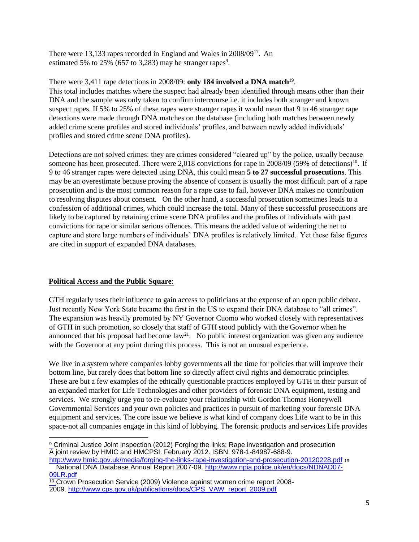There were 13,133 rapes recorded in England and Wales in 2008/09<sup>17</sup>. An estimated 5% to 25% (657 to 3,283) may be stranger rapes<sup>9</sup>.

There were 3,411 rape detections in 2008/09: **only 184 involved a DNA match**<sup>19</sup> . This total includes matches where the suspect had already been identified through means other than their DNA and the sample was only taken to confirm intercourse i.e. it includes both stranger and known suspect rapes. If 5% to 25% of these rapes were stranger rapes it would mean that 9 to 46 stranger rape detections were made through DNA matches on the database (including both matches between newly added crime scene profiles and stored individuals' profiles, and between newly added individuals' profiles and stored crime scene DNA profiles).

Detections are not solved crimes: they are crimes considered "cleared up" by the police, usually because someone has been prosecuted. There were 2,018 convictions for rape in 2008/09 (59% of detections)<sup>10</sup>. If 9 to 46 stranger rapes were detected using DNA, this could mean **5 to 27 successful prosecutions**. This may be an overestimate because proving the absence of consent is usually the most difficult part of a rape prosecution and is the most common reason for a rape case to fail, however DNA makes no contribution to resolving disputes about consent. On the other hand, a successful prosecution sometimes leads to a confession of additional crimes, which could increase the total. Many of these successful prosecutions are likely to be captured by retaining crime scene DNA profiles and the profiles of individuals with past convictions for rape or similar serious offences. This means the added value of widening the net to capture and store large numbers of individuals' DNA profiles is relatively limited. Yet these false figures are cited in support of expanded DNA databases.

## **Political Access and the Public Square**:

GTH regularly uses their influence to gain access to politicians at the expense of an open public debate. Just recently New York State became the first in the US to expand their DNA database to "all crimes". The expansion was heavily promoted by NY Governor Cuomo who worked closely with representatives of GTH in such promotion, so closely that staff of GTH stood publicly with the Governor when he announced that his proposal had become  $law<sup>21</sup>$ . No public interest organization was given any audience with the Governor at any point during this process. This is not an unusual experience.

We live in a system where companies lobby governments all the time for policies that will improve their bottom line, but rarely does that bottom line so directly affect civil rights and democratic principles. These are but a few examples of the ethically questionable practices employed by GTH in their pursuit of an expanded market for Life Technologies and other providers of forensic DNA equipment, testing and services. We strongly urge you to re-evaluate your relationship with Gordon Thomas Honeywell Governmental Services and your own policies and practices in pursuit of marketing your forensic DNA equipment and services. The core issue we believe is what kind of company does Life want to be in this space-not all companies engage in this kind of lobbying. The forensic products and services Life provides

 $\overline{a}$ <sup>9</sup> Criminal Justice Joint Inspection (2012) Forging the links: Rape investigation and prosecution A joint review by HMIC and HMCPSI. February 2012. ISBN: 978-1-84987-688-9.

<http://www.hmic.gov.uk/media/forging-the-links-rape-investigation-and-prosecution-20120228.pdf> <sup>19</sup> National DNA Database Annual Report 2007-09. [http://www.npia.police.uk/en/docs/NDNAD07-](http://www.npia.police.uk/en/docs/NDNAD07-09-LR.pdf) [09LR.pdf](http://www.npia.police.uk/en/docs/NDNAD07-09-LR.pdf)

<sup>&</sup>lt;sup>10</sup> Crown Prosecution Service (2009) Violence against women crime report 2008-2009. [http://www.cps.gov.uk/publications/docs/CPS\\_VAW\\_report\\_2009.pdf](http://www.cps.gov.uk/publications/docs/CPS_VAW_report_2009.pdf)